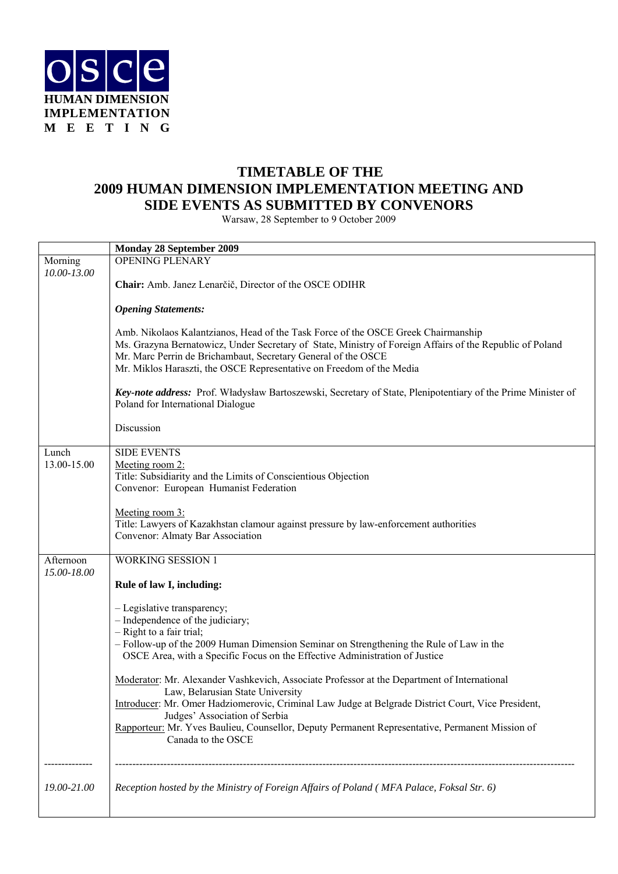

## **TIMETABLE OF THE 2009 HUMAN DIMENSION IMPLEMENTATION MEETING AND SIDE EVENTS AS SUBMITTED BY CONVENORS**

Warsaw, 28 September to 9 October 2009

|                        | Monday 28 September 2009                                                                                                                                                                                                                                                                                                               |
|------------------------|----------------------------------------------------------------------------------------------------------------------------------------------------------------------------------------------------------------------------------------------------------------------------------------------------------------------------------------|
| Morning<br>10.00-13.00 | <b>OPENING PLENARY</b>                                                                                                                                                                                                                                                                                                                 |
|                        | Chair: Amb. Janez Lenarčič, Director of the OSCE ODIHR                                                                                                                                                                                                                                                                                 |
|                        | <b>Opening Statements:</b>                                                                                                                                                                                                                                                                                                             |
|                        | Amb. Nikolaos Kalantzianos, Head of the Task Force of the OSCE Greek Chairmanship<br>Ms. Grazyna Bernatowicz, Under Secretary of State, Ministry of Foreign Affairs of the Republic of Poland<br>Mr. Marc Perrin de Brichambaut, Secretary General of the OSCE<br>Mr. Miklos Haraszti, the OSCE Representative on Freedom of the Media |
|                        | Key-note address: Prof. Władysław Bartoszewski, Secretary of State, Plenipotentiary of the Prime Minister of<br>Poland for International Dialogue                                                                                                                                                                                      |
|                        | Discussion                                                                                                                                                                                                                                                                                                                             |
| Lunch                  | <b>SIDE EVENTS</b>                                                                                                                                                                                                                                                                                                                     |
| 13.00-15.00            | Meeting room 2:<br>Title: Subsidiarity and the Limits of Conscientious Objection                                                                                                                                                                                                                                                       |
|                        | Convenor: European Humanist Federation                                                                                                                                                                                                                                                                                                 |
|                        | Meeting room 3:                                                                                                                                                                                                                                                                                                                        |
|                        | Title: Lawyers of Kazakhstan clamour against pressure by law-enforcement authorities                                                                                                                                                                                                                                                   |
|                        | Convenor: Almaty Bar Association                                                                                                                                                                                                                                                                                                       |
| Afternoon              | <b>WORKING SESSION 1</b>                                                                                                                                                                                                                                                                                                               |
| 15.00-18.00            |                                                                                                                                                                                                                                                                                                                                        |
|                        | Rule of law I, including:                                                                                                                                                                                                                                                                                                              |
|                        | - Legislative transparency;                                                                                                                                                                                                                                                                                                            |
|                        | - Independence of the judiciary;<br>- Right to a fair trial;                                                                                                                                                                                                                                                                           |
|                        | - Follow-up of the 2009 Human Dimension Seminar on Strengthening the Rule of Law in the                                                                                                                                                                                                                                                |
|                        | OSCE Area, with a Specific Focus on the Effective Administration of Justice                                                                                                                                                                                                                                                            |
|                        | Moderator: Mr. Alexander Vashkevich, Associate Professor at the Department of International<br>Law, Belarusian State University                                                                                                                                                                                                        |
|                        | Introducer: Mr. Omer Hadziomerovic, Criminal Law Judge at Belgrade District Court, Vice President,                                                                                                                                                                                                                                     |
|                        | Judges' Association of Serbia<br>Rapporteur: Mr. Yves Baulieu, Counsellor, Deputy Permanent Representative, Permanent Mission of<br>Canada to the OSCE                                                                                                                                                                                 |
|                        |                                                                                                                                                                                                                                                                                                                                        |
| 19.00-21.00            | Reception hosted by the Ministry of Foreign Affairs of Poland (MFA Palace, Foksal Str. 6)                                                                                                                                                                                                                                              |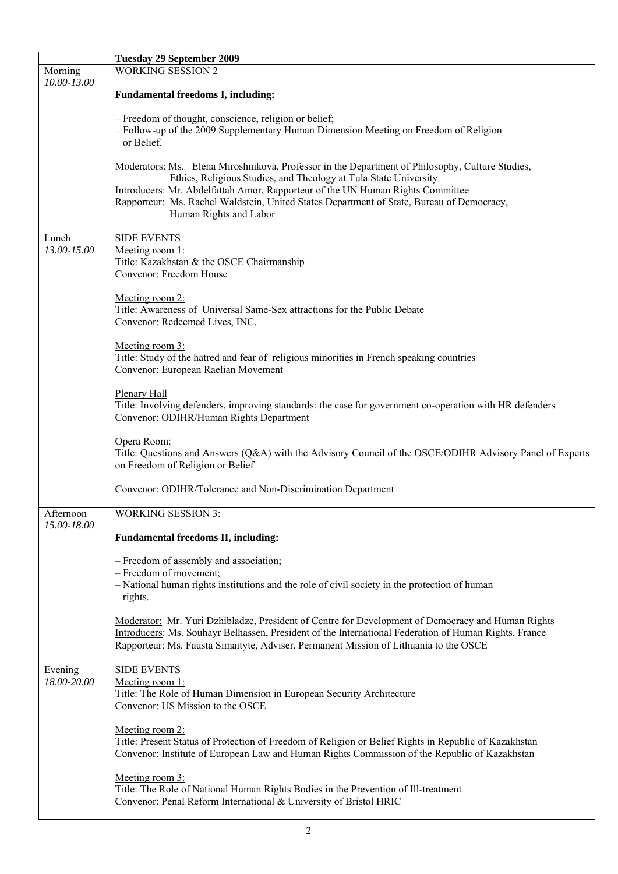|                          | <b>Tuesday 29 September 2009</b>                                                                                                                                                                                                                                                                                                                                             |
|--------------------------|------------------------------------------------------------------------------------------------------------------------------------------------------------------------------------------------------------------------------------------------------------------------------------------------------------------------------------------------------------------------------|
| Morning                  | <b>WORKING SESSION 2</b>                                                                                                                                                                                                                                                                                                                                                     |
| 10.00-13.00              | <b>Fundamental freedoms I, including:</b>                                                                                                                                                                                                                                                                                                                                    |
|                          | - Freedom of thought, conscience, religion or belief;<br>- Follow-up of the 2009 Supplementary Human Dimension Meeting on Freedom of Religion<br>or Belief.                                                                                                                                                                                                                  |
|                          | Moderators: Ms. Elena Miroshnikova, Professor in the Department of Philosophy, Culture Studies,<br>Ethics, Religious Studies, and Theology at Tula State University<br>Introducers: Mr. Abdelfattah Amor, Rapporteur of the UN Human Rights Committee<br>Rapporteur: Ms. Rachel Waldstein, United States Department of State, Bureau of Democracy,<br>Human Rights and Labor |
| Lunch<br>13.00-15.00     | <b>SIDE EVENTS</b><br>Meeting room 1:<br>Title: Kazakhstan & the OSCE Chairmanship<br>Convenor: Freedom House                                                                                                                                                                                                                                                                |
|                          | Meeting room 2:<br>Title: Awareness of Universal Same-Sex attractions for the Public Debate<br>Convenor: Redeemed Lives, INC.                                                                                                                                                                                                                                                |
|                          | Meeting room 3:<br>Title: Study of the hatred and fear of religious minorities in French speaking countries<br>Convenor: European Raelian Movement                                                                                                                                                                                                                           |
|                          | Plenary Hall<br>Title: Involving defenders, improving standards: the case for government co-operation with HR defenders<br>Convenor: ODIHR/Human Rights Department                                                                                                                                                                                                           |
|                          | Opera Room:<br>Title: Questions and Answers (Q&A) with the Advisory Council of the OSCE/ODIHR Advisory Panel of Experts<br>on Freedom of Religion or Belief                                                                                                                                                                                                                  |
|                          | Convenor: ODIHR/Tolerance and Non-Discrimination Department                                                                                                                                                                                                                                                                                                                  |
| Afternoon<br>15.00-18.00 | <b>WORKING SESSION 3:</b>                                                                                                                                                                                                                                                                                                                                                    |
|                          | <b>Fundamental freedoms II, including:</b>                                                                                                                                                                                                                                                                                                                                   |
|                          | - Freedom of assembly and association;                                                                                                                                                                                                                                                                                                                                       |
|                          | - Freedom of movement;<br>- National human rights institutions and the role of civil society in the protection of human<br>rights.                                                                                                                                                                                                                                           |
|                          | Moderator: Mr. Yuri Dzhibladze, President of Centre for Development of Democracy and Human Rights<br>Introducers: Ms. Souhayr Belhassen, President of the International Federation of Human Rights, France<br>Rapporteur: Ms. Fausta Simaityte, Adviser, Permanent Mission of Lithuania to the OSCE                                                                          |
| Evening<br>18.00-20.00   | <b>SIDE EVENTS</b><br>Meeting room 1:<br>Title: The Role of Human Dimension in European Security Architecture<br>Convenor: US Mission to the OSCE                                                                                                                                                                                                                            |
|                          | Meeting room 2:<br>Title: Present Status of Protection of Freedom of Religion or Belief Rights in Republic of Kazakhstan<br>Convenor: Institute of European Law and Human Rights Commission of the Republic of Kazakhstan                                                                                                                                                    |
|                          | Meeting room 3:<br>Title: The Role of National Human Rights Bodies in the Prevention of Ill-treatment<br>Convenor: Penal Reform International & University of Bristol HRIC                                                                                                                                                                                                   |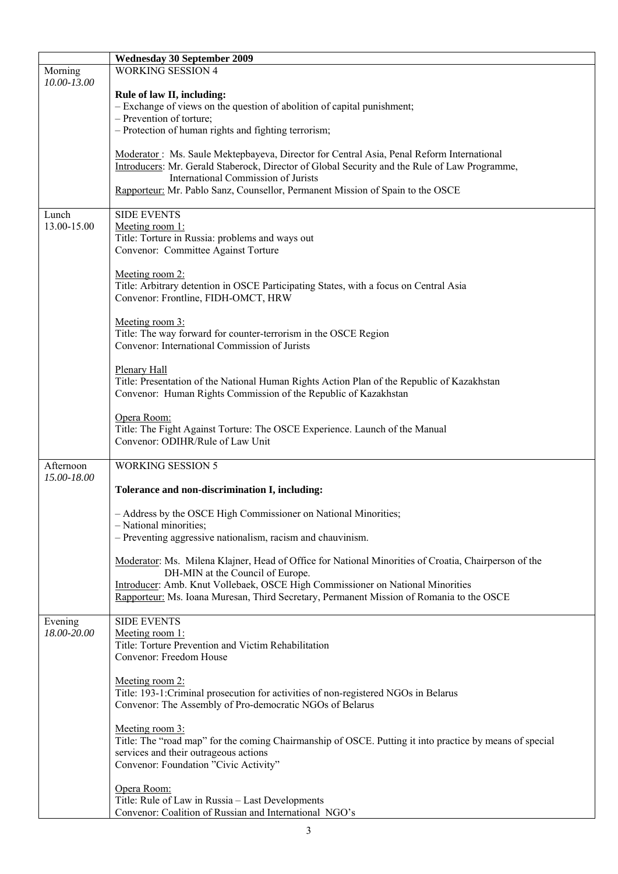|                        | <b>Wednesday 30 September 2009</b>                                                                                                                                                                                               |
|------------------------|----------------------------------------------------------------------------------------------------------------------------------------------------------------------------------------------------------------------------------|
| Morning                | <b>WORKING SESSION 4</b>                                                                                                                                                                                                         |
| 10.00-13.00            | Rule of law II, including:<br>- Exchange of views on the question of abolition of capital punishment;<br>- Prevention of torture;                                                                                                |
|                        | - Protection of human rights and fighting terrorism;                                                                                                                                                                             |
|                        | Moderator: Ms. Saule Mektepbayeva, Director for Central Asia, Penal Reform International<br>Introducers: Mr. Gerald Staberock, Director of Global Security and the Rule of Law Programme,<br>International Commission of Jurists |
|                        | Rapporteur: Mr. Pablo Sanz, Counsellor, Permanent Mission of Spain to the OSCE                                                                                                                                                   |
| Lunch<br>13.00-15.00   | <b>SIDE EVENTS</b><br>Meeting room 1:<br>Title: Torture in Russia: problems and ways out<br>Convenor: Committee Against Torture                                                                                                  |
|                        | Meeting room 2:<br>Title: Arbitrary detention in OSCE Participating States, with a focus on Central Asia<br>Convenor: Frontline, FIDH-OMCT, HRW                                                                                  |
|                        | Meeting room 3:<br>Title: The way forward for counter-terrorism in the OSCE Region<br>Convenor: International Commission of Jurists                                                                                              |
|                        | <b>Plenary Hall</b><br>Title: Presentation of the National Human Rights Action Plan of the Republic of Kazakhstan<br>Convenor: Human Rights Commission of the Republic of Kazakhstan                                             |
|                        | Opera Room:<br>Title: The Fight Against Torture: The OSCE Experience. Launch of the Manual<br>Convenor: ODIHR/Rule of Law Unit                                                                                                   |
| Afternoon              | <b>WORKING SESSION 5</b>                                                                                                                                                                                                         |
| 15.00-18.00            |                                                                                                                                                                                                                                  |
|                        | Tolerance and non-discrimination I, including:                                                                                                                                                                                   |
|                        | Address by the OSCE High Commissioner on National Minorities;<br>- National minorities;<br>- Preventing aggressive nationalism, racism and chauvinism.                                                                           |
|                        |                                                                                                                                                                                                                                  |
|                        | Moderator: Ms. Milena Klajner, Head of Office for National Minorities of Croatia, Chairperson of the<br>DH-MIN at the Council of Europe.                                                                                         |
|                        | Introducer: Amb. Knut Vollebaek, OSCE High Commissioner on National Minorities<br>Rapporteur: Ms. Ioana Muresan, Third Secretary, Permanent Mission of Romania to the OSCE                                                       |
| Evening<br>18.00-20.00 | <b>SIDE EVENTS</b><br>Meeting room 1:<br>Title: Torture Prevention and Victim Rehabilitation<br>Convenor: Freedom House                                                                                                          |
|                        | Meeting room 2:<br>Title: 193-1: Criminal prosecution for activities of non-registered NGOs in Belarus<br>Convenor: The Assembly of Pro-democratic NGOs of Belarus                                                               |
|                        | Meeting room 3:<br>Title: The "road map" for the coming Chairmanship of OSCE. Putting it into practice by means of special<br>services and their outrageous actions<br>Convenor: Foundation "Civic Activity"                     |
|                        | Opera Room:<br>Title: Rule of Law in Russia - Last Developments<br>Convenor: Coalition of Russian and International NGO's                                                                                                        |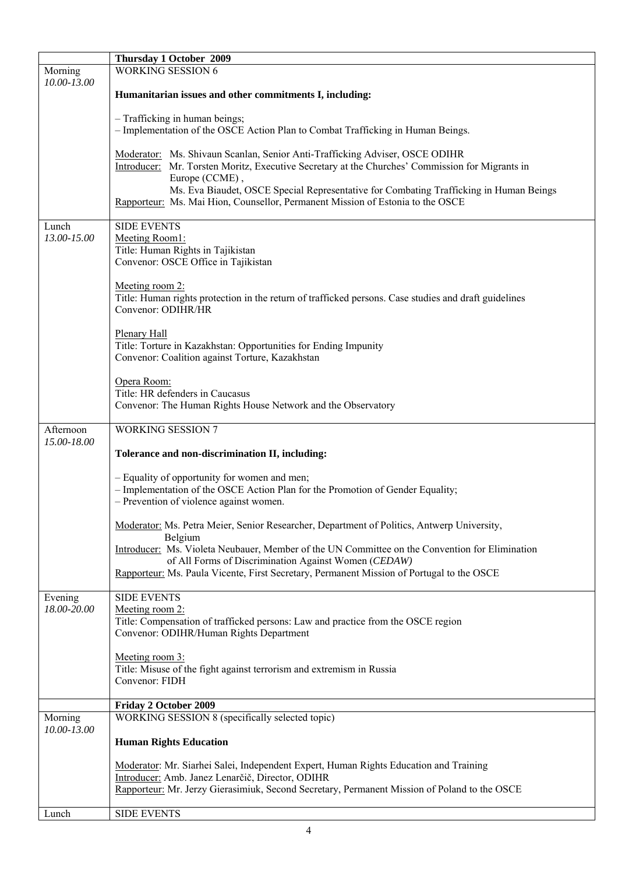|                        | Thursday 1 October 2009                                                                                                                                                                                                                   |
|------------------------|-------------------------------------------------------------------------------------------------------------------------------------------------------------------------------------------------------------------------------------------|
| Morning<br>10.00-13.00 | <b>WORKING SESSION 6</b>                                                                                                                                                                                                                  |
|                        | Humanitarian issues and other commitments I, including:                                                                                                                                                                                   |
|                        | - Trafficking in human beings;<br>- Implementation of the OSCE Action Plan to Combat Trafficking in Human Beings.                                                                                                                         |
|                        | Moderator: Ms. Shivaun Scanlan, Senior Anti-Trafficking Adviser, OSCE ODIHR<br>Introducer: Mr. Torsten Moritz, Executive Secretary at the Churches' Commission for Migrants in<br>Europe (CCME),                                          |
|                        | Ms. Eva Biaudet, OSCE Special Representative for Combating Trafficking in Human Beings<br>Rapporteur: Ms. Mai Hion, Counsellor, Permanent Mission of Estonia to the OSCE                                                                  |
| Lunch<br>13.00-15.00   | <b>SIDE EVENTS</b><br>Meeting Room1:<br>Title: Human Rights in Tajikistan<br>Convenor: OSCE Office in Tajikistan                                                                                                                          |
|                        | Meeting room 2:<br>Title: Human rights protection in the return of trafficked persons. Case studies and draft guidelines<br>Convenor: ODIHR/HR                                                                                            |
|                        | <b>Plenary Hall</b><br>Title: Torture in Kazakhstan: Opportunities for Ending Impunity<br>Convenor: Coalition against Torture, Kazakhstan                                                                                                 |
|                        | Opera Room:<br>Title: HR defenders in Caucasus<br>Convenor: The Human Rights House Network and the Observatory                                                                                                                            |
| Afternoon              | <b>WORKING SESSION 7</b>                                                                                                                                                                                                                  |
| 15.00-18.00            | Tolerance and non-discrimination II, including:                                                                                                                                                                                           |
|                        |                                                                                                                                                                                                                                           |
|                        | - Equality of opportunity for women and men;<br>- Implementation of the OSCE Action Plan for the Promotion of Gender Equality;<br>- Prevention of violence against women.                                                                 |
|                        | Moderator: Ms. Petra Meier, Senior Researcher, Department of Politics, Antwerp University,<br>Belgium                                                                                                                                     |
|                        | Introducer: Ms. Violeta Neubauer, Member of the UN Committee on the Convention for Elimination<br>of All Forms of Discrimination Against Women (CEDAW)                                                                                    |
|                        | Rapporteur: Ms. Paula Vicente, First Secretary, Permanent Mission of Portugal to the OSCE                                                                                                                                                 |
| Evening<br>18.00-20.00 | <b>SIDE EVENTS</b><br>Meeting room 2:                                                                                                                                                                                                     |
|                        | Title: Compensation of trafficked persons: Law and practice from the OSCE region<br>Convenor: ODIHR/Human Rights Department                                                                                                               |
|                        | Meeting room 3:<br>Title: Misuse of the fight against terrorism and extremism in Russia<br>Convenor: FIDH                                                                                                                                 |
|                        | Friday 2 October 2009                                                                                                                                                                                                                     |
| Morning<br>10.00-13.00 | WORKING SESSION 8 (specifically selected topic)                                                                                                                                                                                           |
|                        | <b>Human Rights Education</b>                                                                                                                                                                                                             |
|                        | Moderator: Mr. Siarhei Salei, Independent Expert, Human Rights Education and Training<br>Introducer: Amb. Janez Lenarčič, Director, ODIHR<br>Rapporteur: Mr. Jerzy Gierasimiuk, Second Secretary, Permanent Mission of Poland to the OSCE |
| Lunch                  | <b>SIDE EVENTS</b>                                                                                                                                                                                                                        |
|                        |                                                                                                                                                                                                                                           |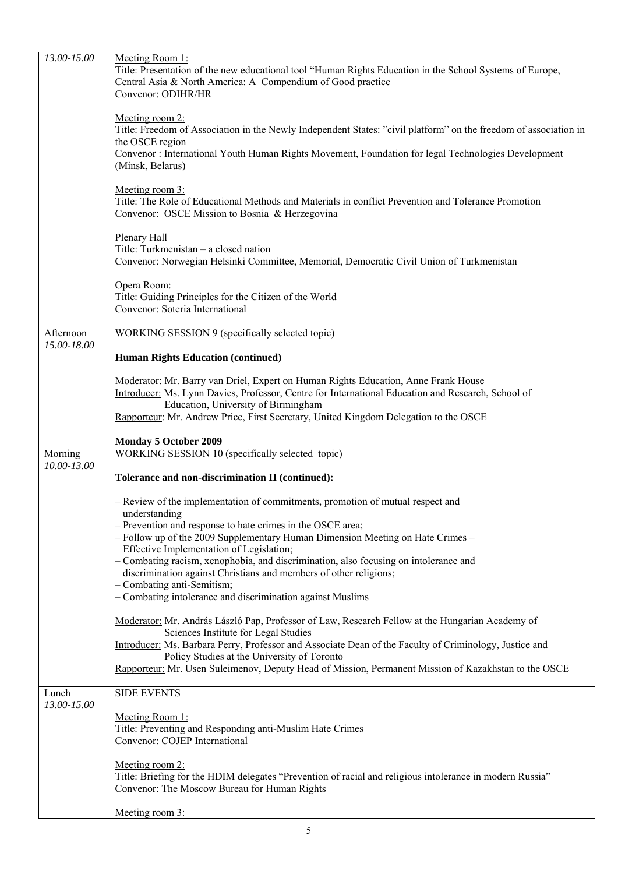| 13.00-15.00            | Meeting Room 1:<br>Title: Presentation of the new educational tool "Human Rights Education in the School Systems of Europe,<br>Central Asia & North America: A Compendium of Good practice<br>Convenor: ODIHR/HR |
|------------------------|------------------------------------------------------------------------------------------------------------------------------------------------------------------------------------------------------------------|
|                        | Meeting room 2:<br>Title: Freedom of Association in the Newly Independent States: "civil platform" on the freedom of association in<br>the OSCE region                                                           |
|                        | Convenor : International Youth Human Rights Movement, Foundation for legal Technologies Development<br>(Minsk, Belarus)                                                                                          |
|                        | Meeting room 3:<br>Title: The Role of Educational Methods and Materials in conflict Prevention and Tolerance Promotion<br>Convenor: OSCE Mission to Bosnia & Herzegovina                                         |
|                        | <b>Plenary Hall</b><br>Title: Turkmenistan – a closed nation<br>Convenor: Norwegian Helsinki Committee, Memorial, Democratic Civil Union of Turkmenistan                                                         |
|                        | Opera Room:<br>Title: Guiding Principles for the Citizen of the World<br>Convenor: Soteria International                                                                                                         |
| Afternoon              | WORKING SESSION 9 (specifically selected topic)                                                                                                                                                                  |
| 15.00-18.00            | <b>Human Rights Education (continued)</b>                                                                                                                                                                        |
|                        | Moderator: Mr. Barry van Driel, Expert on Human Rights Education, Anne Frank House<br>Introducer: Ms. Lynn Davies, Professor, Centre for International Education and Research, School of                         |
|                        | Education, University of Birmingham<br>Rapporteur: Mr. Andrew Price, First Secretary, United Kingdom Delegation to the OSCE                                                                                      |
|                        |                                                                                                                                                                                                                  |
|                        | <b>Monday 5 October 2009</b>                                                                                                                                                                                     |
| Morning<br>10.00-13.00 | WORKING SESSION 10 (specifically selected topic)                                                                                                                                                                 |
|                        | Tolerance and non-discrimination II (continued):                                                                                                                                                                 |
|                        | - Review of the implementation of commitments, promotion of mutual respect and<br>understanding                                                                                                                  |
|                        | - Prevention and response to hate crimes in the OSCE area;<br>- Follow up of the 2009 Supplementary Human Dimension Meeting on Hate Crimes -                                                                     |
|                        | Effective Implementation of Legislation;<br>- Combating racism, xenophobia, and discrimination, also focusing on intolerance and                                                                                 |
|                        | discrimination against Christians and members of other religions;<br>- Combating anti-Semitism;<br>- Combating intolerance and discrimination against Muslims                                                    |
|                        | Moderator: Mr. András László Pap, Professor of Law, Research Fellow at the Hungarian Academy of                                                                                                                  |
|                        | Sciences Institute for Legal Studies<br>Introducer: Ms. Barbara Perry, Professor and Associate Dean of the Faculty of Criminology, Justice and                                                                   |
|                        | Policy Studies at the University of Toronto<br>Rapporteur: Mr. Usen Suleimenov, Deputy Head of Mission, Permanent Mission of Kazakhstan to the OSCE                                                              |
| Lunch<br>13.00-15.00   | <b>SIDE EVENTS</b>                                                                                                                                                                                               |
|                        | Meeting Room 1:<br>Title: Preventing and Responding anti-Muslim Hate Crimes<br>Convenor: COJEP International                                                                                                     |
|                        | Meeting room 2:<br>Title: Briefing for the HDIM delegates "Prevention of racial and religious intolerance in modern Russia"<br>Convenor: The Moscow Bureau for Human Rights                                      |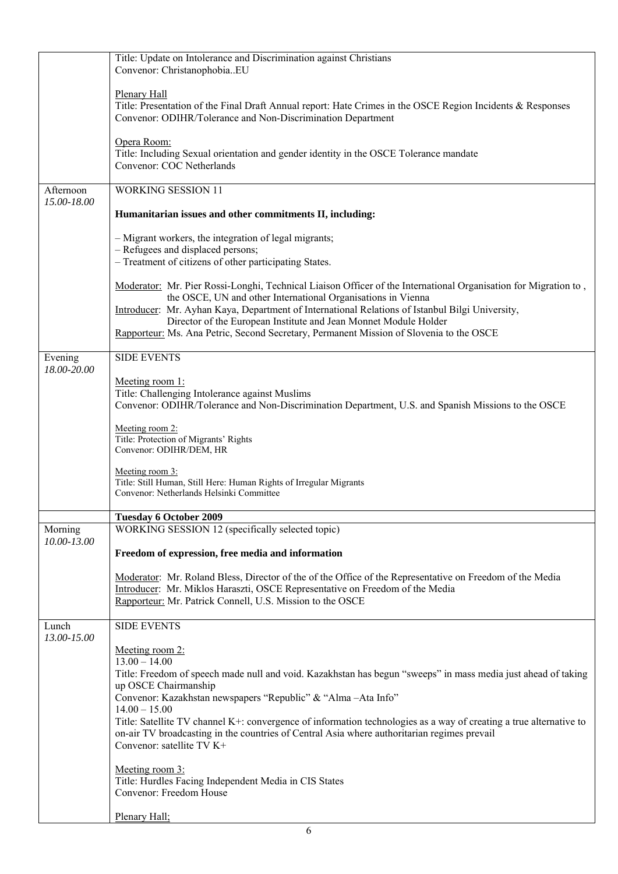|                          | Title: Update on Intolerance and Discrimination against Christians<br>Convenor: ChristanophobiaEU                                                                                                                                                                                                                                                                                                                                                 |
|--------------------------|---------------------------------------------------------------------------------------------------------------------------------------------------------------------------------------------------------------------------------------------------------------------------------------------------------------------------------------------------------------------------------------------------------------------------------------------------|
|                          | <b>Plenary Hall</b><br>Title: Presentation of the Final Draft Annual report: Hate Crimes in the OSCE Region Incidents & Responses<br>Convenor: ODIHR/Tolerance and Non-Discrimination Department                                                                                                                                                                                                                                                  |
|                          | Opera Room:<br>Title: Including Sexual orientation and gender identity in the OSCE Tolerance mandate<br>Convenor: COC Netherlands                                                                                                                                                                                                                                                                                                                 |
| Afternoon<br>15.00-18.00 | <b>WORKING SESSION 11</b>                                                                                                                                                                                                                                                                                                                                                                                                                         |
|                          | Humanitarian issues and other commitments II, including:                                                                                                                                                                                                                                                                                                                                                                                          |
|                          | - Migrant workers, the integration of legal migrants;<br>- Refugees and displaced persons;<br>- Treatment of citizens of other participating States.                                                                                                                                                                                                                                                                                              |
|                          | Moderator: Mr. Pier Rossi-Longhi, Technical Liaison Officer of the International Organisation for Migration to,<br>the OSCE, UN and other International Organisations in Vienna<br>Introducer: Mr. Ayhan Kaya, Department of International Relations of Istanbul Bilgi University,<br>Director of the European Institute and Jean Monnet Module Holder<br>Rapporteur: Ms. Ana Petric, Second Secretary, Permanent Mission of Slovenia to the OSCE |
| Evening                  | <b>SIDE EVENTS</b>                                                                                                                                                                                                                                                                                                                                                                                                                                |
| 18.00-20.00              | Meeting room 1:<br>Title: Challenging Intolerance against Muslims<br>Convenor: ODIHR/Tolerance and Non-Discrimination Department, U.S. and Spanish Missions to the OSCE                                                                                                                                                                                                                                                                           |
|                          | Meeting room 2:<br>Title: Protection of Migrants' Rights<br>Convenor: ODIHR/DEM, HR                                                                                                                                                                                                                                                                                                                                                               |
|                          | Meeting room 3:<br>Title: Still Human, Still Here: Human Rights of Irregular Migrants<br>Convenor: Netherlands Helsinki Committee                                                                                                                                                                                                                                                                                                                 |
|                          | <b>Tuesday 6 October 2009</b>                                                                                                                                                                                                                                                                                                                                                                                                                     |
| Morning<br>10.00-13.00   | WORKING SESSION 12 (specifically selected topic)                                                                                                                                                                                                                                                                                                                                                                                                  |
|                          | Freedom of expression, free media and information                                                                                                                                                                                                                                                                                                                                                                                                 |
|                          | Moderator: Mr. Roland Bless, Director of the of the Office of the Representative on Freedom of the Media<br>Introducer: Mr. Miklos Haraszti, OSCE Representative on Freedom of the Media<br>Rapporteur: Mr. Patrick Connell, U.S. Mission to the OSCE                                                                                                                                                                                             |
| Lunch<br>13.00-15.00     | <b>SIDE EVENTS</b>                                                                                                                                                                                                                                                                                                                                                                                                                                |
|                          | Meeting room 2:<br>$13.00 - 14.00$<br>Title: Freedom of speech made null and void. Kazakhstan has begun "sweeps" in mass media just ahead of taking<br>up OSCE Chairmanship<br>Convenor: Kazakhstan newspapers "Republic" & "Alma-Ata Info"<br>$14.00 - 15.00$<br>Title: Satellite TV channel K+: convergence of information technologies as a way of creating a true alternative to                                                              |
|                          | on-air TV broadcasting in the countries of Central Asia where authoritarian regimes prevail<br>Convenor: satellite TV K+<br>Meeting room 3:                                                                                                                                                                                                                                                                                                       |
|                          | Title: Hurdles Facing Independent Media in CIS States<br>Convenor: Freedom House                                                                                                                                                                                                                                                                                                                                                                  |
|                          | Plenary Hall;                                                                                                                                                                                                                                                                                                                                                                                                                                     |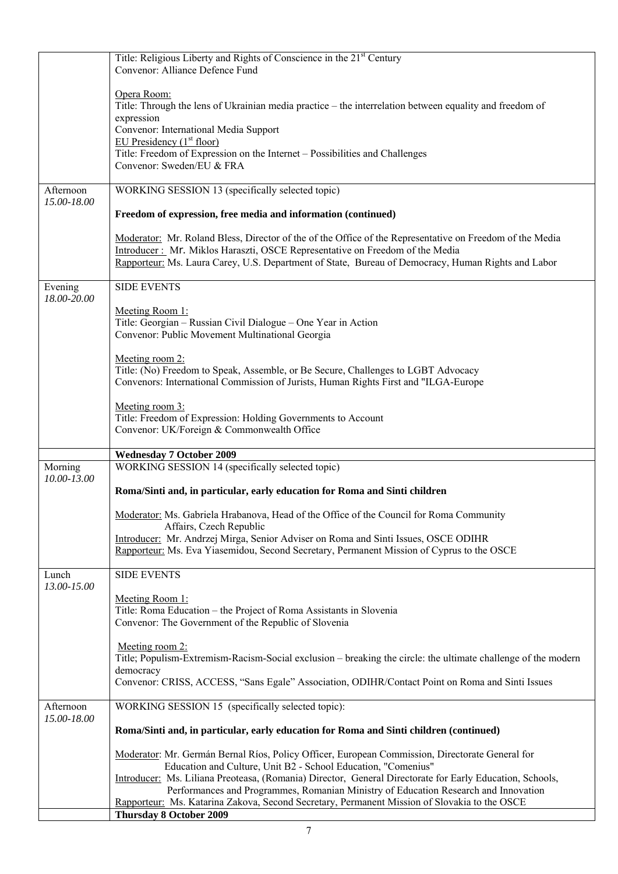|                          | Title: Religious Liberty and Rights of Conscience in the 21 <sup>st</sup> Century<br>Convenor: Alliance Defence Fund                                                                                                                                                                                                     |
|--------------------------|--------------------------------------------------------------------------------------------------------------------------------------------------------------------------------------------------------------------------------------------------------------------------------------------------------------------------|
|                          | Opera Room:<br>Title: Through the lens of Ukrainian media practice - the interrelation between equality and freedom of<br>expression<br>Convenor: International Media Support<br>EU Presidency $(1st floor)$<br>Title: Freedom of Expression on the Internet - Possibilities and Challenges<br>Convenor: Sweden/EU & FRA |
| Afternoon                | WORKING SESSION 13 (specifically selected topic)                                                                                                                                                                                                                                                                         |
| 15.00-18.00              | Freedom of expression, free media and information (continued)                                                                                                                                                                                                                                                            |
|                          | Moderator: Mr. Roland Bless, Director of the of the Office of the Representative on Freedom of the Media<br>Introducer: Mr. Miklos Haraszti, OSCE Representative on Freedom of the Media<br>Rapporteur: Ms. Laura Carey, U.S. Department of State, Bureau of Democracy, Human Rights and Labor                           |
| Evening                  | <b>SIDE EVENTS</b>                                                                                                                                                                                                                                                                                                       |
| 18.00-20.00              | Meeting Room 1:<br>Title: Georgian - Russian Civil Dialogue - One Year in Action<br>Convenor: Public Movement Multinational Georgia                                                                                                                                                                                      |
|                          | Meeting room 2:<br>Title: (No) Freedom to Speak, Assemble, or Be Secure, Challenges to LGBT Advocacy<br>Convenors: International Commission of Jurists, Human Rights First and "ILGA-Europe"                                                                                                                             |
|                          | Meeting room 3:<br>Title: Freedom of Expression: Holding Governments to Account<br>Convenor: UK/Foreign & Commonwealth Office                                                                                                                                                                                            |
|                          | <b>Wednesday 7 October 2009</b>                                                                                                                                                                                                                                                                                          |
| Morning<br>10.00-13.00   | WORKING SESSION 14 (specifically selected topic)                                                                                                                                                                                                                                                                         |
|                          | Roma/Sinti and, in particular, early education for Roma and Sinti children                                                                                                                                                                                                                                               |
|                          | Moderator: Ms. Gabriela Hrabanova, Head of the Office of the Council for Roma Community<br>Affairs, Czech Republic                                                                                                                                                                                                       |
|                          | Introducer: Mr. Andrzej Mirga, Senior Adviser on Roma and Sinti Issues, OSCE ODIHR<br>Rapporteur: Ms. Eva Yiasemidou, Second Secretary, Permanent Mission of Cyprus to the OSCE                                                                                                                                          |
| Lunch<br>13.00-15.00     | <b>SIDE EVENTS</b>                                                                                                                                                                                                                                                                                                       |
|                          |                                                                                                                                                                                                                                                                                                                          |
|                          | Meeting Room 1:<br>Title: Roma Education - the Project of Roma Assistants in Slovenia<br>Convenor: The Government of the Republic of Slovenia                                                                                                                                                                            |
|                          | Meeting room 2:<br>Title; Populism-Extremism-Racism-Social exclusion – breaking the circle: the ultimate challenge of the modern<br>democracy                                                                                                                                                                            |
|                          | Convenor: CRISS, ACCESS, "Sans Egale" Association, ODIHR/Contact Point on Roma and Sinti Issues                                                                                                                                                                                                                          |
| Afternoon<br>15.00-18.00 | WORKING SESSION 15 (specifically selected topic):                                                                                                                                                                                                                                                                        |
|                          | Roma/Sinti and, in particular, early education for Roma and Sinti children (continued)                                                                                                                                                                                                                                   |
|                          | Moderator: Mr. Germán Bernal Ríos, Policy Officer, European Commission, Directorate General for                                                                                                                                                                                                                          |
|                          | Education and Culture, Unit B2 - School Education, "Comenius"<br>Introducer: Ms. Liliana Preoteasa, (Romania) Director, General Directorate for Early Education, Schools,<br>Performances and Programmes, Romanian Ministry of Education Research and Innovation                                                         |
|                          | Rapporteur: Ms. Katarina Zakova, Second Secretary, Permanent Mission of Slovakia to the OSCE<br><b>Thursday 8 October 2009</b>                                                                                                                                                                                           |